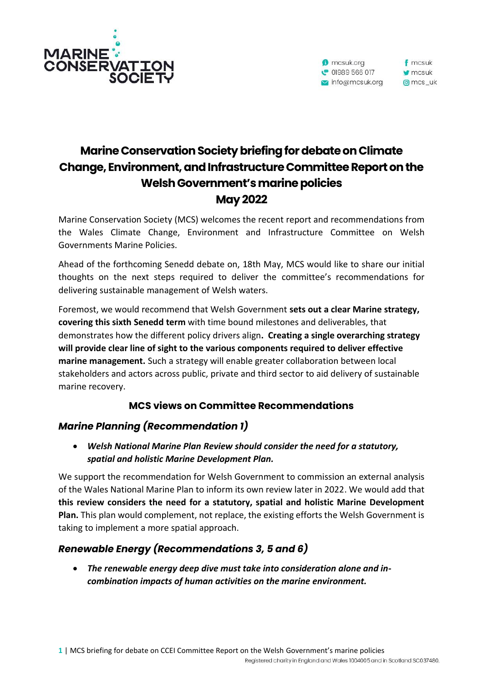



# **Marine Conservation Society briefing for debate onClimate Change, Environment,and Infrastructure Committee Report on the Welsh Government's marine policies May 2022**

Marine Conservation Society (MCS) welcomes the recent report and recommendations from the Wales Climate Change, Environment and Infrastructure Committee on Welsh Governments Marine Policies.

Ahead of the forthcoming Senedd debate on, 18th May, MCS would like to share our initial thoughts on the next steps required to deliver the committee's recommendations for delivering sustainable management of Welsh waters.

Foremost, we would recommend that Welsh Government **sets out a clear Marine strategy, covering this sixth Senedd term** with time bound milestones and deliverables, that demonstrates how the different policy drivers align**. Creating a single overarching strategy will provide clear line of sight to the various components required to deliver effective marine management.** Such a strategy will enable greater collaboration between local stakeholders and actors across public, private and third sector to aid delivery of sustainable marine recovery.

# **MCS views on Committee Recommendations**

# *Marine Planning (Recommendation 1)*

• *Welsh National Marine Plan Review should consider the need for a statutory, spatial and holistic Marine Development Plan.*

We support the recommendation for Welsh Government to commission an external analysis of the Wales National Marine Plan to inform its own review later in 2022. We would add that **this review considers the need for a statutory, spatial and holistic Marine Development Plan.** This plan would complement, not replace, the existing efforts the Welsh Government is taking to implement a more spatial approach.

# *Renewable Energy (Recommendations 3, 5 and 6)*

• *The renewable energy deep dive must take into consideration alone and incombination impacts of human activities on the marine environment.*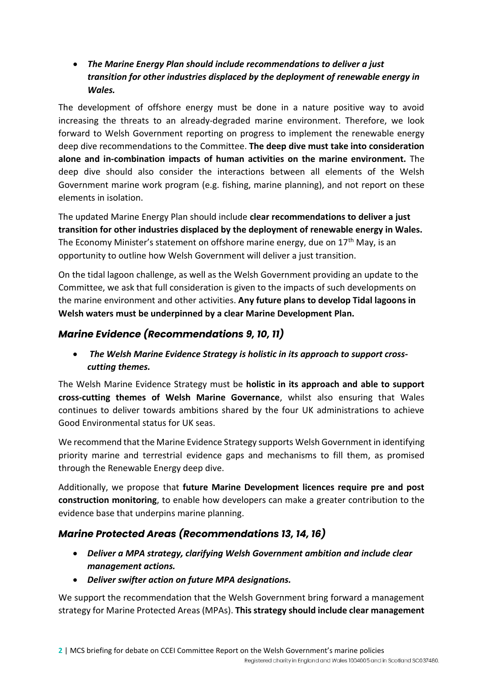• *The Marine Energy Plan should include recommendations to deliver a just transition for other industries displaced by the deployment of renewable energy in Wales.*

The development of offshore energy must be done in a nature positive way to avoid increasing the threats to an already-degraded marine environment. Therefore, we look forward to Welsh Government reporting on progress to implement the renewable energy deep dive recommendations to the Committee. **The deep dive must take into consideration alone and in-combination impacts of human activities on the marine environment.** The deep dive should also consider the interactions between all elements of the Welsh Government marine work program (e.g. fishing, marine planning), and not report on these elements in isolation.

The updated Marine Energy Plan should include **clear recommendations to deliver a just transition for other industries displaced by the deployment of renewable energy in Wales.** The Economy Minister's statement on offshore marine energy, due on 17<sup>th</sup> May, is an opportunity to outline how Welsh Government will deliver a just transition.

On the tidal lagoon challenge, as well as the Welsh Government providing an update to the Committee, we ask that full consideration is given to the impacts of such developments on the marine environment and other activities. **Any future plans to develop Tidal lagoons in Welsh waters must be underpinned by a clear Marine Development Plan.** 

# *Marine Evidence (Recommendations 9, 10, 11)*

• *The Welsh Marine Evidence Strategy is holistic in its approach to support crosscutting themes.*

The Welsh Marine Evidence Strategy must be **holistic in its approach and able to support cross-cutting themes of Welsh Marine Governance**, whilst also ensuring that Wales continues to deliver towards ambitions shared by the four UK administrations to achieve Good Environmental status for UK seas.

We recommend that the Marine Evidence Strategy supports Welsh Government in identifying priority marine and terrestrial evidence gaps and mechanisms to fill them, as promised through the Renewable Energy deep dive.

Additionally, we propose that **future Marine Development licences require pre and post construction monitoring**, to enable how developers can make a greater contribution to the evidence base that underpins marine planning.

# *Marine Protected Areas (Recommendations 13, 14, 16)*

- *Deliver a MPA strategy, clarifying Welsh Government ambition and include clear management actions.*
- *Deliver swifter action on future MPA designations.*

We support the recommendation that the Welsh Government bring forward a management strategy for Marine Protected Areas (MPAs). **This strategy should include clear management**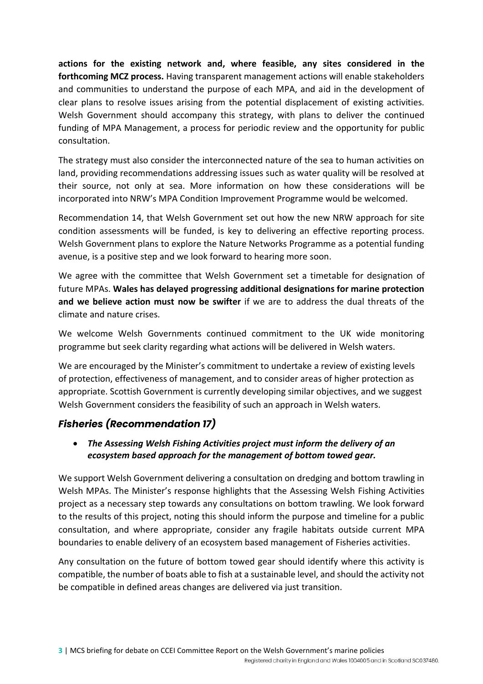**actions for the existing network and, where feasible, any sites considered in the forthcoming MCZ process.** Having transparent management actions will enable stakeholders and communities to understand the purpose of each MPA, and aid in the development of clear plans to resolve issues arising from the potential displacement of existing activities. Welsh Government should accompany this strategy, with plans to deliver the continued funding of MPA Management, a process for periodic review and the opportunity for public consultation.

The strategy must also consider the interconnected nature of the sea to human activities on land, providing recommendations addressing issues such as water quality will be resolved at their source, not only at sea. More information on how these considerations will be incorporated into NRW's MPA Condition Improvement Programme would be welcomed.

Recommendation 14, that Welsh Government set out how the new NRW approach for site condition assessments will be funded, is key to delivering an effective reporting process. Welsh Government plans to explore the Nature Networks Programme as a potential funding avenue, is a positive step and we look forward to hearing more soon.

We agree with the committee that Welsh Government set a timetable for designation of future MPAs. **Wales has delayed progressing additional designations for marine protection and we believe action must now be swifter** if we are to address the dual threats of the climate and nature crises.

We welcome Welsh Governments continued commitment to the UK wide monitoring programme but seek clarity regarding what actions will be delivered in Welsh waters.

We are encouraged by the Minister's commitment to undertake a review of existing levels of protection, effectiveness of management, and to consider areas of higher protection as appropriate. Scottish Government is currently developing similar objectives, and we suggest Welsh Government considers the feasibility of such an approach in Welsh waters.

# *Fisheries (Recommendation 17)*

• *The Assessing Welsh Fishing Activities project must inform the delivery of an ecosystem based approach for the management of bottom towed gear.* 

We support Welsh Government delivering a consultation on dredging and bottom trawling in Welsh MPAs. The Minister's response highlights that the Assessing Welsh Fishing Activities project as a necessary step towards any consultations on bottom trawling. We look forward to the results of this project, noting this should inform the purpose and timeline for a public consultation, and where appropriate, consider any fragile habitats outside current MPA boundaries to enable delivery of an ecosystem based management of Fisheries activities.

Any consultation on the future of bottom towed gear should identify where this activity is compatible, the number of boats able to fish at a sustainable level, and should the activity not be compatible in defined areas changes are delivered via just transition.